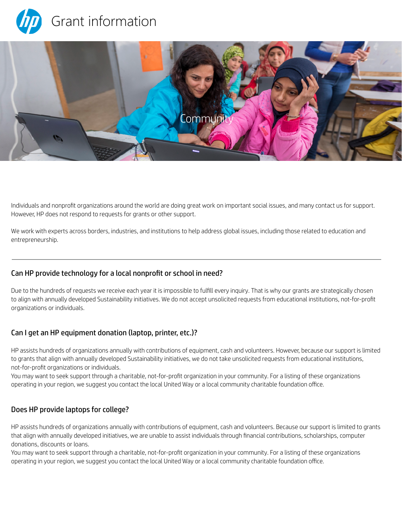



Individuals and nonprofit organizations around the world are doing great work on important social issues, and many contact us for support. However, HP does not respond to requests for grants or other support.

We work with experts across borders, industries, and institutions to help address global issues, including those related to education and entrepreneurship.

# Can HP provide technology for a local nonprofit or school in need?

Due to the hundreds of requests we receive each year it is impossible to fulfill every inquiry. That is why our grants are strategically chosen to align with annually developed Sustainability initiatives. We do not accept unsolicited requests from educational institutions, not-for-profit organizations or individuals.

# Can I get an HP equipment donation (laptop, printer, etc.)?

HP assists hundreds of organizations annually with contributions of equipment, cash and volunteers. However, because our support is limited to grants that align with annually developed Sustainability initiatives, we do not take unsolicited requests from educational institutions, not-for-profit organizations or individuals.

You may want to seek support through a charitable, not-for-profit organization in your community. For a listing of these organizations operating in your region, we suggest you contact the local United Way or a local community charitable foundation office.

### Does HP provide laptops for college?

HP assists hundreds of organizations annually with contributions of equipment, cash and volunteers. Because our support is limited to grants that align with annually developed initiatives, we are unable to assist individuals through financial contributions, scholarships, computer donations, discounts or loans.

You may want to seek support through a charitable, not-for-profit organization in your community. For a listing of these organizations operating in your region, we suggest you contact the local United Way or a local community charitable foundation office.